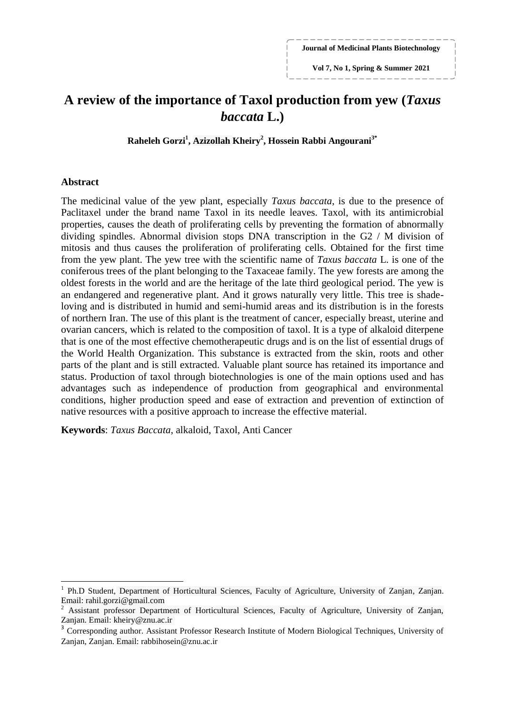**Journal of Medicinal Plants Biotechnology**

**Vol 7, No 1, Spring & Summer 2021**

# **A review of the importance of Taxol production from yew (***Taxus baccata* **L.)**

**Raheleh Gorzi<sup>1</sup> , Azizollah Kheiry<sup>2</sup> , Hossein Rabbi Angourani3\***

### **Abstract**

**.** 

The medicinal value of the yew plant, especially *Taxus baccata*, is due to the presence of Paclitaxel under the brand name Taxol in its needle leaves. Taxol, with its antimicrobial properties, causes the death of proliferating cells by preventing the formation of abnormally dividing spindles. Abnormal division stops DNA transcription in the G2 / M division of mitosis and thus causes the proliferation of proliferating cells. Obtained for the first time from the yew plant. The yew tree with the scientific name of *Taxus baccata* L. is one of the coniferous trees of the plant belonging to the Taxaceae family. The yew forests are among the oldest forests in the world and are the heritage of the late third geological period. The yew is an endangered and regenerative plant. And it grows naturally very little. This tree is shadeloving and is distributed in humid and semi-humid areas and its distribution is in the forests of northern Iran. The use of this plant is the treatment of cancer, especially breast, uterine and ovarian cancers, which is related to the composition of taxol. It is a type of alkaloid diterpene that is one of the most effective chemotherapeutic drugs and is on the list of essential drugs of the World Health Organization. This substance is extracted from the skin, roots and other parts of the plant and is still extracted. Valuable plant source has retained its importance and status. Production of taxol through biotechnologies is one of the main options used and has advantages such as independence of production from geographical and environmental conditions, higher production speed and ease of extraction and prevention of extinction of native resources with a positive approach to increase the effective material.

**Keywords**: *Taxus Baccata*, alkaloid, Taxol, Anti Cancer

<sup>1</sup> Ph.D Student, Department of Horticultural Sciences, Faculty of Agriculture, University of Zanjan, Zanjan. Email: rahil.gorzi@gmail.com

<sup>2</sup> Assistant professor Department of Horticultural Sciences, Faculty of Agriculture, University of Zanjan, Zanjan. Email: kheiry@znu.ac.ir

<sup>3</sup> Corresponding author. Assistant Professor Research Institute of Modern Biological Techniques, University of Zanjan, Zanjan. Email: rabbihosein@znu.ac.ir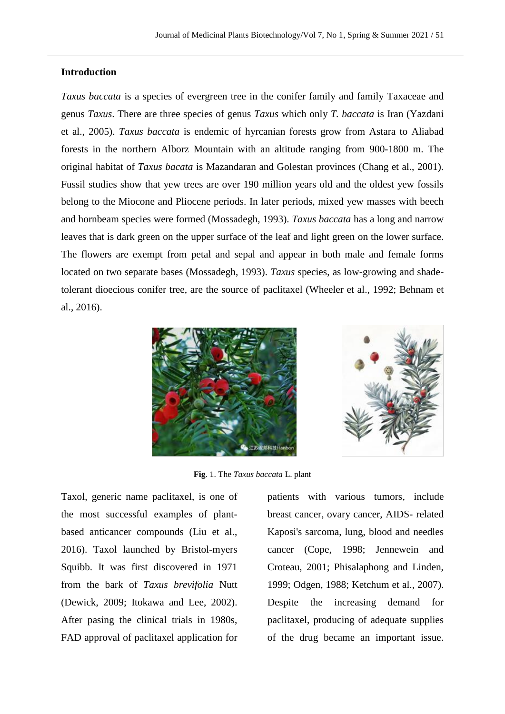## **Introduction**

*Taxus baccata* is a species of evergreen tree in the conifer family and family Taxaceae and genus *Taxus*. There are three species of genus *Taxus* which only *T. baccata* is Iran (Yazdani et al., 2005). *Taxus baccata* is endemic of hyrcanian forests grow from Astara to Aliabad forests in the northern Alborz Mountain with an altitude ranging from 900-1800 m. The original habitat of *Taxus bacata* is Mazandaran and Golestan provinces (Chang et al., 2001). Fussil studies show that yew trees are over 190 million years old and the oldest yew fossils belong to the Miocone and Pliocene periods. In later periods, mixed yew masses with beech and hornbeam species were formed (Mossadegh, 1993). *Taxus baccata* has a long and narrow leaves that is dark green on the upper surface of the leaf and light green on the lower surface. The flowers are exempt from petal and sepal and appear in both male and female forms located on two separate bases (Mossadegh, 1993). *Taxus* species, as low-growing and shadetolerant dioecious conifer tree, are the source of paclitaxel (Wheeler et al., 1992; Behnam et al., 2016).





**Fig**. 1. The *Taxus baccata* L. plant

Taxol, generic name paclitaxel, is one of the most successful examples of plantbased anticancer compounds (Liu et al., 2016). Taxol launched by Bristol-myers Squibb. It was first discovered in 1971 from the bark of *Taxus brevifolia* Nutt (Dewick, 2009; Itokawa and Lee, 2002). After pasing the clinical trials in 1980s, FAD approval of paclitaxel application for patients with various tumors, include breast cancer, ovary cancer, AIDS- related Kaposi's sarcoma, lung, blood and needles cancer (Cope, 1998; Jennewein and Croteau, 2001; Phisalaphong and Linden, 1999; Odgen, 1988; Ketchum et al., 2007). Despite the increasing demand for paclitaxel, producing of adequate supplies of the drug became an important issue.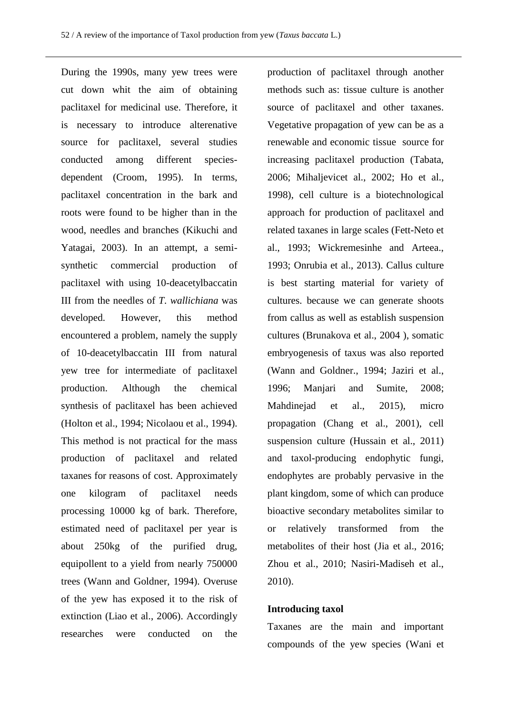During the 1990s, many yew trees were cut down whit the aim of obtaining paclitaxel for medicinal use. Therefore, it is necessary to introduce alterenative source for paclitaxel, several studies conducted among different speciesdependent (Croom, 1995). In terms, paclitaxel concentration in the bark and roots were found to be higher than in the wood, needles and branches (Kikuchi and Yatagai, 2003). In an attempt, a semisynthetic commercial production of paclitaxel with using 10-deacetylbaccatin III from the needles of *T. wallichiana* was developed. However, this method encountered a problem, namely the supply of 10-deacetylbaccatin III from natural yew tree for intermediate of paclitaxel production. Although the chemical synthesis of paclitaxel has been achieved (Holton et al., 1994; Nicolaou et al., 1994). This method is not practical for the mass production of paclitaxel and related taxanes for reasons of cost. Approximately one kilogram of paclitaxel needs processing 10000 kg of bark. Therefore, estimated need of paclitaxel per year is about 250kg of the purified drug, equipollent to a yield from nearly 750000 trees (Wann and Goldner, 1994). Overuse of the yew has exposed it to the risk of extinction (Liao et al., 2006). Accordingly researches were conducted on the

production of paclitaxel through another methods such as: tissue culture is another source of paclitaxel and other taxanes. Vegetative propagation of yew can be as a renewable and economic tissue source for increasing paclitaxel production (Tabata, 2006; Mihaljevicet al., 2002; Ho et al., 1998), cell culture is a biotechnological approach for production of paclitaxel and related taxanes in large scales (Fett-Neto et al., 1993; Wickremesinhe and Arteea., 1993; Onrubia et al., 2013). Callus culture is best starting material for variety of cultures. because we can generate shoots from callus as well as establish suspension cultures (Brunakova et al., 2004 ), somatic embryogenesis of taxus was also reported (Wann and Goldner., 1994; Jaziri et al., 1996; Manjari and Sumite, 2008; Mahdinejad et al., 2015), micro propagation (Chang et al., 2001), cell suspension culture (Hussain et al., 2011) and taxol-producing endophytic fungi, endophytes are probably pervasive in the plant kingdom, some of which can produce bioactive secondary metabolites similar to or relatively transformed from the metabolites of their host (Jia et al., 2016; Zhou et al., 2010; Nasiri-Madiseh et al., 2010).

#### **Introducing taxol**

Taxanes are the main and important compounds of the yew species (Wani et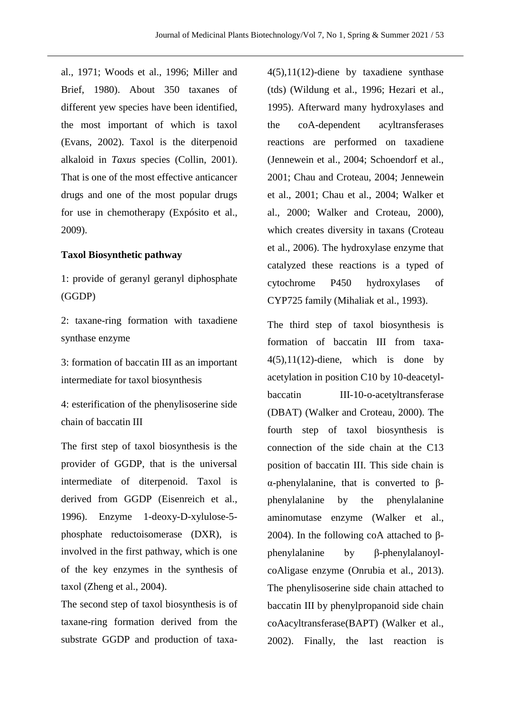al., 1971; Woods et al., 1996; Miller and Brief, 1980). About 350 taxanes of different yew species have been identified, the most important of which is taxol (Evans, 2002). Taxol is the diterpenoid alkaloid in *Taxus* species (Collin, 2001). That is one of the most effective anticancer drugs and one of the most popular drugs for use in chemotherapy (Expósito et al., 2009).

#### **Taxol Biosynthetic pathway**

1: provide of geranyl geranyl diphosphate (GGDP)

2: taxane-ring formation with taxadiene synthase enzyme

3: formation of baccatin III as an important intermediate for taxol biosynthesis

4: esterification of the phenylisoserine side chain of baccatin III

The first step of taxol biosynthesis is the provider of GGDP, that is the universal intermediate of diterpenoid. Taxol is derived from GGDP (Eisenreich et al., 1996). Enzyme 1-deoxy-D-xylulose-5 phosphate reductoisomerase (DXR), is involved in the first pathway, which is one of the key enzymes in the synthesis of taxol (Zheng et al., 2004).

The second step of taxol biosynthesis is of taxane-ring formation derived from the substrate GGDP and production of taxa4(5),11(12)-diene by taxadiene synthase (tds) (Wildung et al., 1996; Hezari et al., 1995). Afterward many hydroxylases and the coA-dependent acyltransferases reactions are performed on taxadiene (Jennewein et al., 2004; Schoendorf et al., 2001; Chau and Croteau, 2004; Jennewein et al., 2001; Chau et al., 2004; Walker et al., 2000; Walker and Croteau, 2000), which creates diversity in taxans (Croteau et al., 2006). The hydroxylase enzyme that catalyzed these reactions is a typed of cytochrome P450 hydroxylases of CYP725 family (Mihaliak et al., 1993).

The third step of taxol biosynthesis is formation of baccatin III from taxa- $4(5)$ , 11(12)-diene, which is done by acetylation in position C10 by 10-deacetylbaccatin III-10-o-acetyltransferase (DBAT) (Walker and Croteau, 2000). The fourth step of taxol biosynthesis is connection of the side chain at the C13 position of baccatin III. This side chain is α-phenylalanine, that is converted to βphenylalanine by the phenylalanine aminomutase enzyme (Walker et al., 2004). In the following coA attached to βphenylalanine by β-phenylalanoylcoAligase enzyme (Onrubia et al., 2013). The phenylisoserine side chain attached to baccatin III by phenylpropanoid side chain coAacyltransferase(BAPT) (Walker et al., 2002). Finally, the last reaction is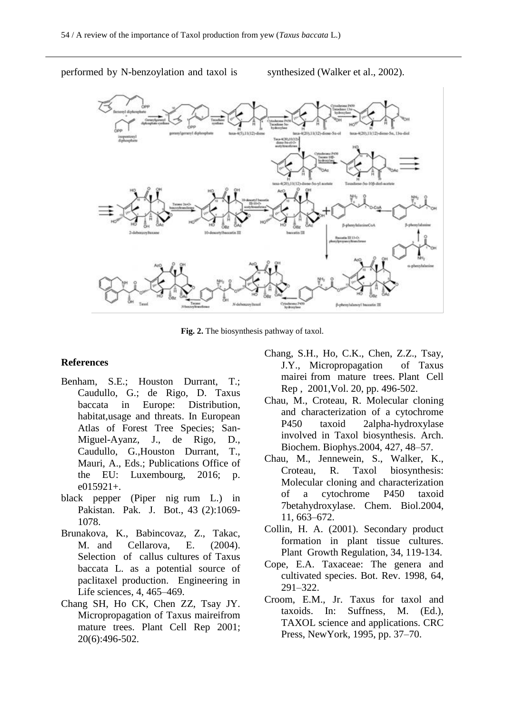performed by N-benzoylation and taxol is synthesized (Walker et al., 2002).



**Fig. 2.** The biosynthesis pathway of taxol.

#### **References**

- Benham, S.E.; Houston Durrant, T.; Caudullo, G.; de Rigo, D. Taxus baccata in Europe: Distribution, habitat,usage and threats. In European Atlas of Forest Tree Species; San-Miguel-Ayanz, J., de Rigo, D., Caudullo, G.,Houston Durrant, T., Mauri, A., Eds.; Publications Office of the EU: Luxembourg, 2016; p. e015921+.
- black pepper (Piper nig rum L.) in Pakistan. Pak. J. Bot., 43 (2):1069- 1078.
- Brunakova, K., Babincovaz, Z., Takac, M. and Cellarova, E. (2004). Selection of callus cultures of Taxus baccata L. as a potential source of paclitaxel production. Engineering in Life sciences, 4, 465–469.
- Chang SH, Ho CK, Chen ZZ, Tsay JY. Micropropagation of Taxus maireifrom mature trees. Plant Cell Rep 2001; 20(6):496-502.
- Chang, S.H., Ho, C.K., Chen, Z.Z., Tsay, J.Y., Micropropagation of Taxus mairei from mature trees. Plant Cell Rep , 2001,Vol. 20, pp. 496-502.
- Chau, M., Croteau, R. Molecular cloning and characterization of a cytochrome P450 taxoid 2alpha-hydroxylase involved in Taxol biosynthesis. Arch. Biochem. Biophys.2004, 427, 48–57.
- Chau, M., Jennewein, S., Walker, K., Croteau, R. Taxol biosynthesis: Molecular cloning and characterization of a cytochrome P450 taxoid 7betahydroxylase. Chem. Biol.2004, 11, 663–672.
- Collin, H. A. (2001). Secondary product formation in plant tissue cultures. Plant Growth Regulation, 34, 119-134.
- Cope, E.A. Taxaceae: The genera and cultivated species. Bot. Rev. 1998, 64, 291–322.
- Croom, E.M., Jr. Taxus for taxol and taxoids. In: Suffness, M. (Ed.), TAXOL science and applications. CRC Press, NewYork, 1995, pp. 37–70.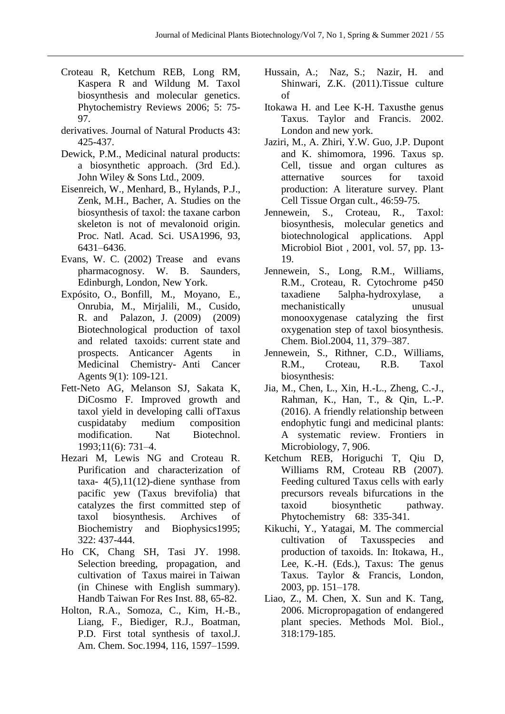- Croteau R, Ketchum REB, Long RM, Kaspera R and Wildung M. Taxol biosynthesis and molecular genetics. Phytochemistry Reviews 2006; 5: 75- 97.
- derivatives. Journal of Natural Products 43: 425-437.
- Dewick, P.M., Medicinal natural products: a biosynthetic approach. (3rd Ed.). John Wiley & Sons Ltd., 2009.
- Eisenreich, W., Menhard, B., Hylands, P.J., Zenk, M.H., Bacher, A. Studies on the biosynthesis of taxol: the taxane carbon skeleton is not of mevalonoid origin. Proc. Natl. Acad. Sci. USA1996, 93, 6431–6436.
- Evans, W. C. (2002) Trease and evans pharmacognosy. W. B. Saunders, Edinburgh, London, New York.
- Expósito, O., Bonfill, M., Moyano, E., Onrubia, M., Mirjalili, M., Cusido, R. and Palazon, J. (2009) (2009) Biotechnological production of taxol and related taxoids: current state and prospects. Anticancer Agents in Medicinal Chemistry- Anti Cancer Agents 9(1): 109-121.
- Fett-Neto AG, Melanson SJ, Sakata K, DiCosmo F. Improved growth and taxol yield in developing calli ofTaxus cuspidataby medium composition modification. Nat Biotechnol. 1993;11(6): 731–4.
- Hezari M, Lewis NG and Croteau R. Purification and characterization of taxa-  $4(5)$ ,  $11(12)$ -diene synthase from pacific yew (Taxus brevifolia) that catalyzes the first committed step of taxol biosynthesis. Archives of Biochemistry and Biophysics1995; 322: 437-444.
- Ho CK, Chang SH, Tasi JY. 1998. Selection breeding, propagation, and cultivation of Taxus mairei in Taiwan (in Chinese with English summary). Handb Taiwan For Res Inst. 88, 65-82.
- Holton, R.A., Somoza, C., Kim, H.-B., Liang, F., Biediger, R.J., Boatman, P.D. First total synthesis of taxol.J. Am. Chem. Soc.1994, 116, 1597–1599.
- Hussain, A.; Naz, S.; Nazir, H. and Shinwari, Z.K. (2011).Tissue culture of
- Itokawa H. and Lee K-H. Taxusthe genus Taxus. Taylor and Francis. 2002. London and new york.
- Jaziri, M., A. Zhiri, Y.W. Guo, J.P. Dupont and K. shimomora, 1996. Taxus sp. Cell, tissue and organ cultures as atternative sources for taxoid production: A literature survey. Plant Cell Tissue Organ cult., 46:59-75.
- Jennewein, S., Croteau, R., Taxol: biosynthesis, molecular genetics and biotechnological applications. Appl Microbiol Biot , 2001, vol. 57, pp. 13- 19.
- Jennewein, S., Long, R.M., Williams, R.M., Croteau, R. Cytochrome p450 taxadiene 5alpha-hydroxylase, a mechanistically unusual monooxygenase catalyzing the first oxygenation step of taxol biosynthesis. Chem. Biol.2004, 11, 379–387.
- Jennewein, S., Rithner, C.D., Williams, R.M., Croteau, R.B. Taxol biosynthesis:
- Jia, M., Chen, L., Xin, H.-L., Zheng, C.-J., Rahman, K., Han, T., & Qin, L.-P. (2016). A friendly relationship between endophytic fungi and medicinal plants: A systematic review. Frontiers in Microbiology, 7, 906.
- Ketchum REB, Horiguchi T, Qiu D, Williams RM, Croteau RB (2007). Feeding cultured Taxus cells with early precursors reveals bifurcations in the taxoid biosynthetic pathway. Phytochemistry 68: 335-341.
- Kikuchi, Y., Yatagai, M. The commercial cultivation of Taxusspecies and production of taxoids. In: Itokawa, H., Lee, K.-H. (Eds.), Taxus: The genus Taxus. Taylor & Francis, London, 2003, pp. 151–178.
- Liao, Z., M. Chen, X. Sun and K. Tang, 2006. Micropropagation of endangered plant species. Methods Mol. Biol., 318:179-185.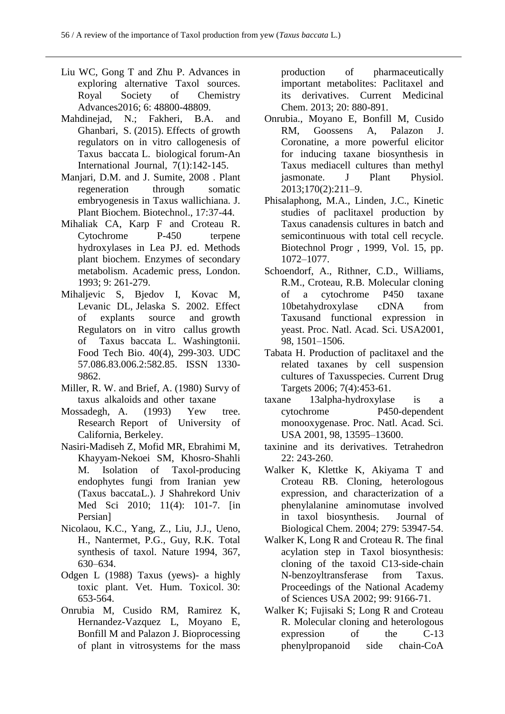- Liu WC, Gong T and Zhu P. Advances in exploring alternative Taxol sources. Royal Society of Chemistry Advances2016; 6: 48800-48809.
- Mahdinejad, N.; Fakheri, B.A. and Ghanbari, S. (2015). Effects of growth regulators on in vitro callogenesis of Taxus baccata L. biological forum-An International Journal, 7(1):142-145.
- Manjari, D.M. and J. Sumite, 2008 . Plant regeneration through somatic embryogenesis in Taxus wallichiana. J. Plant Biochem. Biotechnol., 17:37-44.
- Mihaliak CA, Karp F and Croteau R. Cytochrome P-450 terpene hydroxylases in Lea PJ. ed. Methods plant biochem. Enzymes of secondary metabolism. Academic press, London. 1993; 9: 261-279.
- Mihaljevic S, Bjedov I, Kovac M, Levanic DL, Jelaska S. 2002. Effect of explants source and growth Regulators on in vitro callus growth of Taxus baccata L. Washingtonii. Food Tech Bio. 40(4), 299-303. UDC 57.086.83.006.2:582.85. ISSN 1330- 9862.
- Miller, R. W. and Brief, A. (1980) Survy of taxus alkaloids and other taxane
- Mossadegh, A. (1993) Yew tree. Research Report of University of California, Berkeley.
- Nasiri-Madiseh Z, Mofid MR, Ebrahimi M, Khayyam-Nekoei SM, Khosro-Shahli M. Isolation of Taxol-producing endophytes fungi from Iranian yew (Taxus baccataL.). J Shahrekord Univ Med Sci 2010; 11(4): 101-7. [in Persian]
- Nicolaou, K.C., Yang, Z., Liu, J.J., Ueno, H., Nantermet, P.G., Guy, R.K. Total synthesis of taxol. Nature 1994, 367, 630–634.
- Odgen L (1988) Taxus (yews)- a highly toxic plant. Vet. Hum. Toxicol. 30: 653-564.
- Onrubia M, Cusido RM, Ramirez K, Hernandez-Vazquez L, Moyano E, Bonfill M and Palazon J. Bioprocessing of plant in vitrosystems for the mass

production of pharmaceutically important metabolites: Paclitaxel and its derivatives. Current Medicinal Chem. 2013; 20: 880-891.

- Onrubia., Moyano E, Bonfill M, Cusido RM, Goossens A, Palazon J. Coronatine, a more powerful elicitor for inducing taxane biosynthesis in Taxus mediacell cultures than methyl jasmonate. J Plant Physiol. 2013;170(2):211–9.
- Phisalaphong, M.A., Linden, J.C., Kinetic studies of paclitaxel production by Taxus canadensis cultures in batch and semicontinuous with total cell recycle. Biotechnol Progr , 1999, Vol. 15, pp. 1072–1077.
- Schoendorf, A., Rithner, C.D., Williams, R.M., Croteau, R.B. Molecular cloning of a cytochrome P450 taxane 10betahydroxylase cDNA from Taxusand functional expression in yeast. Proc. Natl. Acad. Sci. USA2001, 98, 1501–1506.
- Tabata H. Production of paclitaxel and the related taxanes by cell suspension cultures of Taxusspecies. Current Drug Targets 2006; 7(4):453-61.
- taxane 13alpha-hydroxylase is a cytochrome P450-dependent monooxygenase. Proc. Natl. Acad. Sci. USA 2001, 98, 13595–13600.
- taxinine and its derivatives. Tetrahedron 22: 243-260.
- Walker K, Klettke K, Akiyama T and Croteau RB. Cloning, heterologous expression, and characterization of a phenylalanine aminomutase involved in taxol biosynthesis. Journal of Biological Chem. 2004; 279: 53947-54.
- Walker K, Long R and Croteau R. The final acylation step in Taxol biosynthesis: cloning of the taxoid C13-side-chain N-benzoyltransferase from Taxus. Proceedings of the National Academy of Sciences USA 2002; 99: 9166-71.
- Walker K; Fujisaki S; Long R and Croteau R. Molecular cloning and heterologous expression of the C-13 phenylpropanoid side chain-CoA